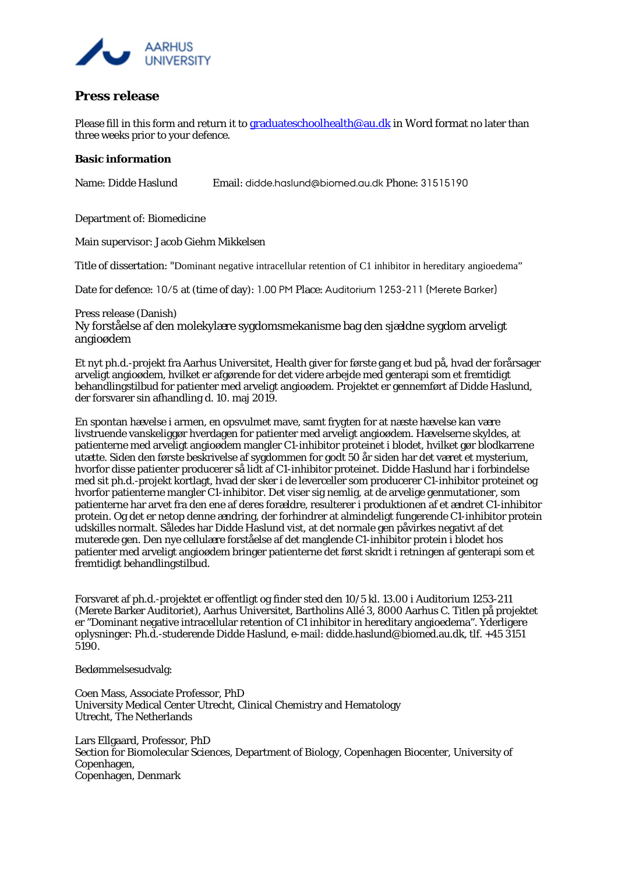

## **Press release**

Please fill in this form and return it t[o graduateschoolhealth@au.dk](mailto:graduateschoolhealth@au.dk) in Word format no later than three weeks prior to your defence.

## **Basic information**

Name: Didde Haslund Email: didde.haslund@biomed.au.dk Phone: 31515190

Department of: Biomedicine

Main supervisor: Jacob Giehm Mikkelsen

Title of dissertation: "Dominant negative intracellular retention of C1 inhibitor in hereditary angioedema"

Date for defence: 10/5 at (time of day): 1.00 PM Place: Auditorium 1253-211 (Merete Barker)

Press release (Danish) Ny forståelse af den molekylære sygdomsmekanisme bag den sjældne sygdom arveligt angioødem

Et nyt ph.d.-projekt fra Aarhus Universitet, Health giver for første gang et bud på, hvad der forårsager arveligt angioødem, hvilket er afgørende for det videre arbejde med genterapi som et fremtidigt behandlingstilbud for patienter med arveligt angioødem. Projektet er gennemført af Didde Haslund, der forsvarer sin afhandling d. 10. maj 2019.

En spontan hævelse i armen, en opsvulmet mave, samt frygten for at næste hævelse kan være livstruende vanskeliggør hverdagen for patienter med arveligt angioødem. Hævelserne skyldes, at patienterne med arveligt angioødem mangler C1-inhibitor proteinet i blodet, hvilket gør blodkarrene utætte. Siden den første beskrivelse af sygdommen for godt 50 år siden har det været et mysterium, hvorfor disse patienter producerer så lidt af C1-inhibitor proteinet. Didde Haslund har i forbindelse med sit ph.d.-projekt kortlagt, hvad der sker i de leverceller som producerer C1-inhibitor proteinet og hvorfor patienterne mangler C1-inhibitor. Det viser sig nemlig, at de arvelige genmutationer, som patienterne har arvet fra den ene af deres forældre, resulterer i produktionen af et ændret C1-inhibitor protein. Og det er netop denne ændring, der forhindrer at almindeligt fungerende C1-inhibitor protein udskilles normalt. Således har Didde Haslund vist, at det normale gen påvirkes negativt af det muterede gen. Den nye cellulære forståelse af det manglende C1-inhibitor protein i blodet hos patienter med arveligt angioødem bringer patienterne det først skridt i retningen af genterapi som et fremtidigt behandlingstilbud.

Forsvaret af ph.d.-projektet er offentligt og finder sted den 10/5 kl. 13.00 i Auditorium 1253-211 (Merete Barker Auditoriet), Aarhus Universitet, Bartholins Allé 3, 8000 Aarhus C. Titlen på projektet er "Dominant negative intracellular retention of C1 inhibitor in hereditary angioedema". Yderligere oplysninger: Ph.d.-studerende Didde Haslund, e-mail: didde.haslund@biomed.au.dk, tlf. +45 3151 5190.

Bedømmelsesudvalg:

Coen Mass, Associate Professor, PhD University Medical Center Utrecht, Clinical Chemistry and Hematology Utrecht, The Netherlands

Lars Ellgaard, Professor, PhD Section for Biomolecular Sciences, Department of Biology, Copenhagen Biocenter, University of Copenhagen, Copenhagen, Denmark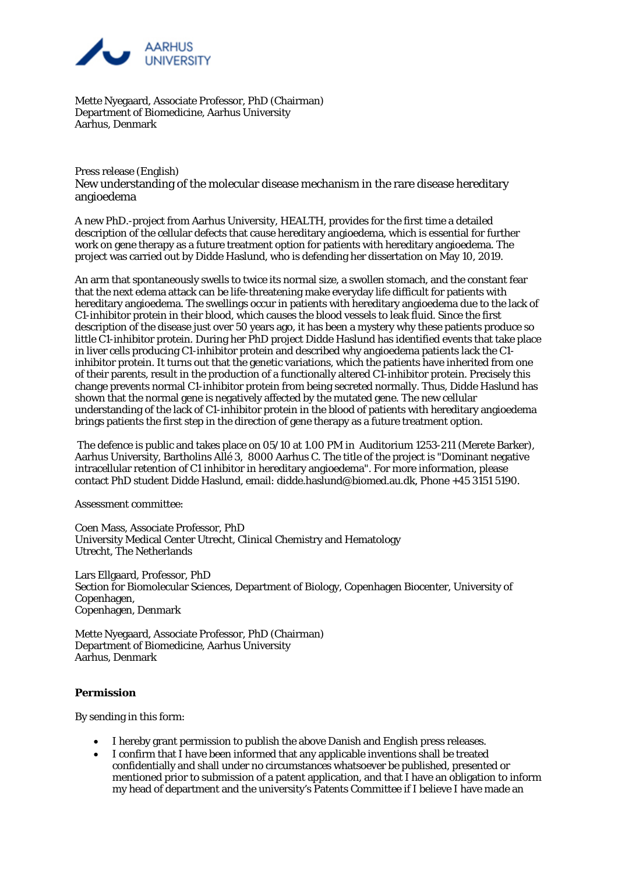

Mette Nyegaard, Associate Professor, PhD (Chairman) Department of Biomedicine, Aarhus University Aarhus, Denmark

Press release (English) New understanding of the molecular disease mechanism in the rare disease hereditary angioedema

A new PhD.-project from Aarhus University, HEALTH, provides for the first time a detailed description of the cellular defects that cause hereditary angioedema, which is essential for further work on gene therapy as a future treatment option for patients with hereditary angioedema. The project was carried out by Didde Haslund, who is defending her dissertation on May 10, 2019.

An arm that spontaneously swells to twice its normal size, a swollen stomach, and the constant fear that the next edema attack can be life-threatening make everyday life difficult for patients with hereditary angioedema. The swellings occur in patients with hereditary angioedema due to the lack of C1-inhibitor protein in their blood, which causes the blood vessels to leak fluid. Since the first description of the disease just over 50 years ago, it has been a mystery why these patients produce so little C1-inhibitor protein. During her PhD project Didde Haslund has identified events that take place in liver cells producing C1-inhibitor protein and described why angioedema patients lack the C1 inhibitor protein. It turns out that the genetic variations, which the patients have inherited from one of their parents, result in the production of a functionally altered C1-inhibitor protein. Precisely this change prevents normal C1-inhibitor protein from being secreted normally. Thus, Didde Haslund has shown that the normal gene is negatively affected by the mutated gene. The new cellular understanding of the lack of C1-inhibitor protein in the blood of patients with hereditary angioedema brings patients the first step in the direction of gene therapy as a future treatment option.

The defence is public and takes place on 05/10 at 1.00 PM in Auditorium 1253-211 (Merete Barker), Aarhus University, Bartholins Allé 3, 8000 Aarhus C. The title of the project is "Dominant negative intracellular retention of C1 inhibitor in hereditary angioedema". For more information, please contact PhD student Didde Haslund, email: didde.haslund@biomed.au.dk, Phone +45 3151 5190.

Assessment committee:

Coen Mass, Associate Professor, PhD University Medical Center Utrecht, Clinical Chemistry and Hematology Utrecht, The Netherlands

Lars Ellgaard, Professor, PhD Section for Biomolecular Sciences, Department of Biology, Copenhagen Biocenter, University of Copenhagen, Copenhagen, Denmark

Mette Nyegaard, Associate Professor, PhD (Chairman) Department of Biomedicine, Aarhus University Aarhus, Denmark

## **Permission**

By sending in this form:

- I hereby grant permission to publish the above Danish and English press releases.
- I confirm that I have been informed that any applicable inventions shall be treated confidentially and shall under no circumstances whatsoever be published, presented or mentioned prior to submission of a patent application, and that I have an obligation to inform my head of department and the university's Patents Committee if I believe I have made an